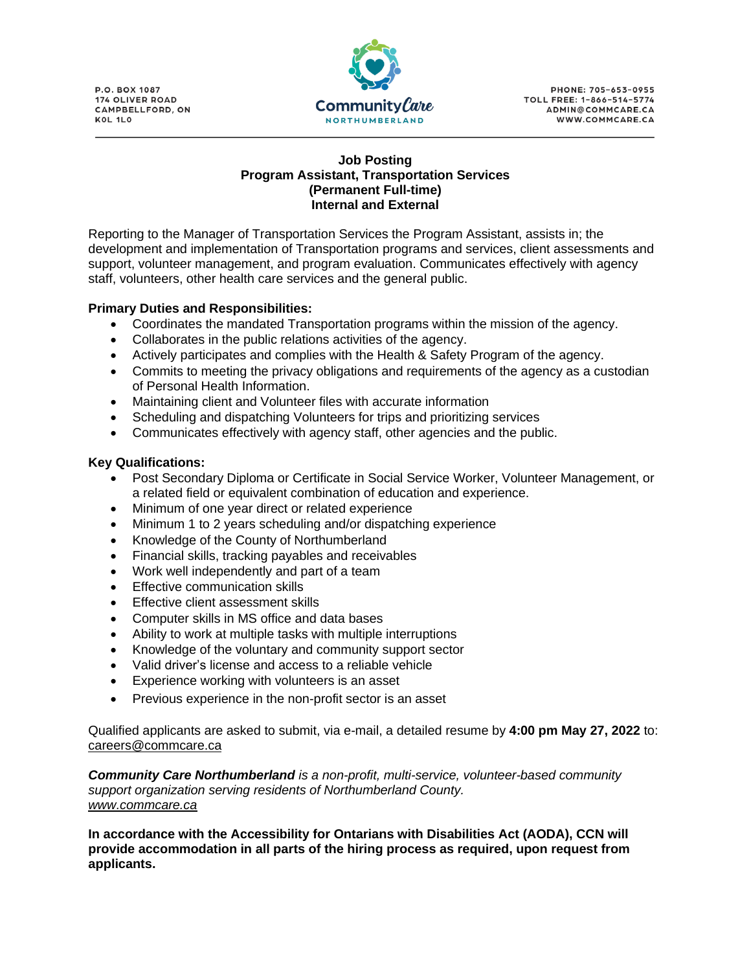**P.O. BOX 1087 174 OLIVER ROAD** CAMPBELLFORD, ON KOL 1LO



**PHONE: 705-653-0955** TOLL FREE: 1-866-514-5774 ADMIN@COMMCARE.CA WWW.COMMCARE.CA

## **Job Posting Program Assistant, Transportation Services (Permanent Full-time) Internal and External**

Reporting to the Manager of Transportation Services the Program Assistant, assists in; the development and implementation of Transportation programs and services, client assessments and support, volunteer management, and program evaluation. Communicates effectively with agency staff, volunteers, other health care services and the general public.

## **Primary Duties and Responsibilities:**

- Coordinates the mandated Transportation programs within the mission of the agency.
- Collaborates in the public relations activities of the agency.
- Actively participates and complies with the Health & Safety Program of the agency.
- Commits to meeting the privacy obligations and requirements of the agency as a custodian of Personal Health Information.
- Maintaining client and Volunteer files with accurate information
- Scheduling and dispatching Volunteers for trips and prioritizing services
- Communicates effectively with agency staff, other agencies and the public.

## **Key Qualifications:**

- Post Secondary Diploma or Certificate in Social Service Worker, Volunteer Management, or a related field or equivalent combination of education and experience.
- Minimum of one year direct or related experience
- Minimum 1 to 2 years scheduling and/or dispatching experience
- Knowledge of the County of Northumberland
- Financial skills, tracking payables and receivables
- Work well independently and part of a team
- Fffective communication skills
- **Effective client assessment skills**
- Computer skills in MS office and data bases
- Ability to work at multiple tasks with multiple interruptions
- Knowledge of the voluntary and community support sector
- Valid driver's license and access to a reliable vehicle
- Experience working with volunteers is an asset
- Previous experience in the non-profit sector is an asset

Qualified applicants are asked to submit, via e-mail, a detailed resume by **4:00 pm May 27, 2022** to: [careers@commcare.ca](mailto:careers@commcare.ca)

*Community Care Northumberland is a non-profit, multi-service, volunteer-based community support organization serving residents of Northumberland County. [www.commcare.ca](http://www.commcare.ca/)*

**In accordance with the Accessibility for Ontarians with Disabilities Act (AODA), CCN will provide accommodation in all parts of the hiring process as required, upon request from applicants.**